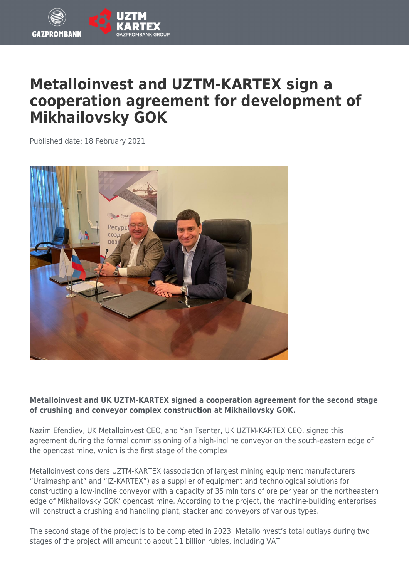

## **Metalloinvest and UZTM-KARTEX sign a cooperation agreement for development of Mikhailovsky GOK**

Published date: 18 February 2021



## **Metalloinvest and UK UZTM-KARTEX signed a cooperation agreement for the second stage of crushing and conveyor complex construction at Mikhailovsky GOK.**

Nazim Efendiev, UK Metalloinvest CEO, and Yan Tsenter, UK UZTM-KARTEX CEO, signed this agreement during the formal commissioning of a high-incline conveyor on the south-eastern edge of the opencast mine, which is the first stage of the complex.

Metalloinvest considers UZTM-KARTEX (association of largest mining equipment manufacturers "Uralmashplant" and "IZ-KARTEX") as a supplier of equipment and technological solutions for constructing a low-incline conveyor with a capacity of 35 mln tons of ore per year on the northeastern edge of Mikhailovsky GOK' opencast mine. According to the project, the machine-building enterprises will construct a crushing and handling plant, stacker and conveyors of various types.

The second stage of the project is to be completed in 2023. Metalloinvest's total outlays during two stages of the project will amount to about 11 billion rubles, including VAT.